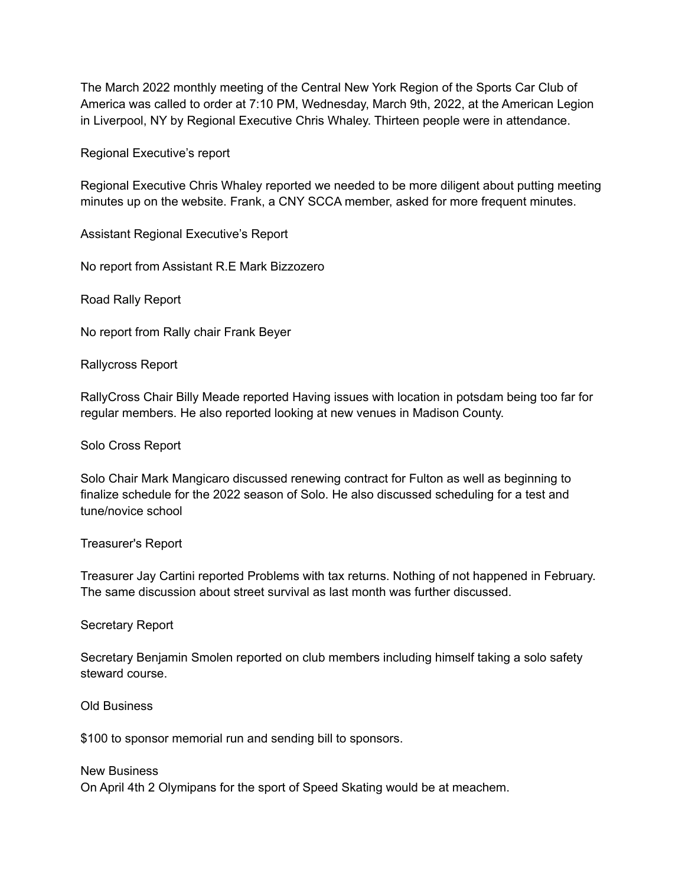The March 2022 monthly meeting of the Central New York Region of the Sports Car Club of America was called to order at 7:10 PM, Wednesday, March 9th, 2022, at the American Legion in Liverpool, NY by Regional Executive Chris Whaley. Thirteen people were in attendance.

Regional Executive's report

Regional Executive Chris Whaley reported we needed to be more diligent about putting meeting minutes up on the website. Frank, a CNY SCCA member, asked for more frequent minutes.

Assistant Regional Executive's Report

No report from Assistant R.E Mark Bizzozero

Road Rally Report

No report from Rally chair Frank Beyer

Rallycross Report

RallyCross Chair Billy Meade reported Having issues with location in potsdam being too far for regular members. He also reported looking at new venues in Madison County.

Solo Cross Report

Solo Chair Mark Mangicaro discussed renewing contract for Fulton as well as beginning to finalize schedule for the 2022 season of Solo. He also discussed scheduling for a test and tune/novice school

Treasurer's Report

Treasurer Jay Cartini reported Problems with tax returns. Nothing of not happened in February. The same discussion about street survival as last month was further discussed.

Secretary Report

Secretary Benjamin Smolen reported on club members including himself taking a solo safety steward course.

Old Business

\$100 to sponsor memorial run and sending bill to sponsors.

New Business On April 4th 2 Olymipans for the sport of Speed Skating would be at meachem.